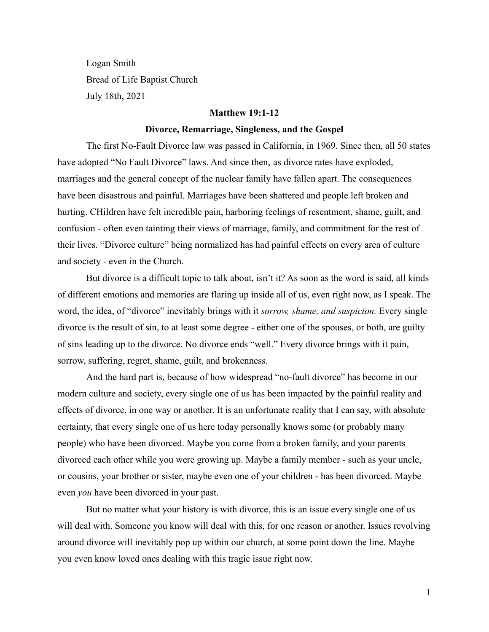Logan Smith Bread of Life Baptist Church July 18th, 2021

#### **Matthew 19:1-12**

### **Divorce, Remarriage, Singleness, and the Gospel**

The first No-Fault Divorce law was passed in California, in 1969. Since then, all 50 states have adopted "No Fault Divorce" laws. And since then, as divorce rates have exploded, marriages and the general concept of the nuclear family have fallen apart. The consequences have been disastrous and painful. Marriages have been shattered and people left broken and hurting. CHildren have felt incredible pain, harboring feelings of resentment, shame, guilt, and confusion - often even tainting their views of marriage, family, and commitment for the rest of their lives. "Divorce culture" being normalized has had painful effects on every area of culture and society - even in the Church.

But divorce is a difficult topic to talk about, isn't it? As soon as the word is said, all kinds of different emotions and memories are flaring up inside all of us, even right now, as I speak. The word, the idea, of "divorce" inevitably brings with it *sorrow, shame, and suspicion.* Every single divorce is the result of sin, to at least some degree - either one of the spouses, or both, are guilty of sins leading up to the divorce. No divorce ends "well." Every divorce brings with it pain, sorrow, suffering, regret, shame, guilt, and brokenness.

And the hard part is, because of how widespread "no-fault divorce" has become in our modern culture and society, every single one of us has been impacted by the painful reality and effects of divorce, in one way or another. It is an unfortunate reality that I can say, with absolute certainty, that every single one of us here today personally knows some (or probably many people) who have been divorced. Maybe you come from a broken family, and your parents divorced each other while you were growing up. Maybe a family member - such as your uncle, or cousins, your brother or sister, maybe even one of your children - has been divorced. Maybe even *you* have been divorced in your past.

But no matter what your history is with divorce, this is an issue every single one of us will deal with. Someone you know will deal with this, for one reason or another. Issues revolving around divorce will inevitably pop up within our church, at some point down the line. Maybe you even know loved ones dealing with this tragic issue right now.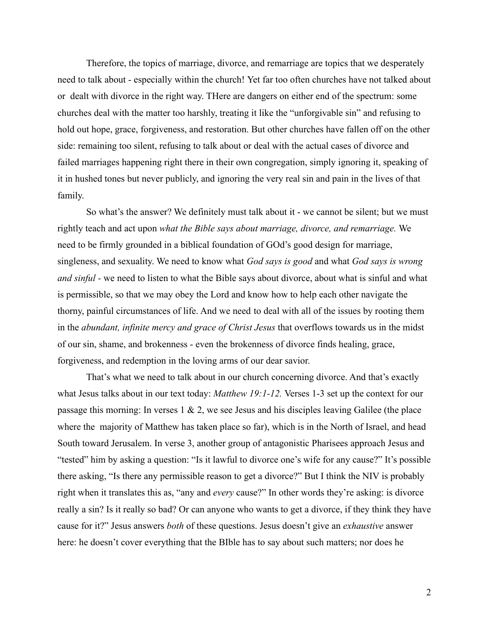Therefore, the topics of marriage, divorce, and remarriage are topics that we desperately need to talk about - especially within the church! Yet far too often churches have not talked about or dealt with divorce in the right way. THere are dangers on either end of the spectrum: some churches deal with the matter too harshly, treating it like the "unforgivable sin" and refusing to hold out hope, grace, forgiveness, and restoration. But other churches have fallen off on the other side: remaining too silent, refusing to talk about or deal with the actual cases of divorce and failed marriages happening right there in their own congregation, simply ignoring it, speaking of it in hushed tones but never publicly, and ignoring the very real sin and pain in the lives of that family.

So what's the answer? We definitely must talk about it - we cannot be silent; but we must rightly teach and act upon *what the Bible says about marriage, divorce, and remarriage.* We need to be firmly grounded in a biblical foundation of GOd's good design for marriage, singleness, and sexuality. We need to know what *God says is good* and what *God says is wrong and sinful -* we need to listen to what the Bible says about divorce, about what is sinful and what is permissible, so that we may obey the Lord and know how to help each other navigate the thorny, painful circumstances of life. And we need to deal with all of the issues by rooting them in the *abundant, infinite mercy and grace of Christ Jesus* that overflows towards us in the midst of our sin, shame, and brokenness - even the brokenness of divorce finds healing, grace, forgiveness, and redemption in the loving arms of our dear savior.

That's what we need to talk about in our church concerning divorce. And that's exactly what Jesus talks about in our text today: *Matthew 19:1-12.* Verses 1-3 set up the context for our passage this morning: In verses  $1 \& 2$ , we see Jesus and his disciples leaving Galilee (the place where the majority of Matthew has taken place so far), which is in the North of Israel, and head South toward Jerusalem. In verse 3, another group of antagonistic Pharisees approach Jesus and "tested" him by asking a question: "Is it lawful to divorce one's wife for any cause?" It's possible there asking, "Is there any permissible reason to get a divorce?" But I think the NIV is probably right when it translates this as, "any and *every* cause?" In other words they're asking: is divorce really a sin? Is it really so bad? Or can anyone who wants to get a divorce, if they think they have cause for it?" Jesus answers *both* of these questions. Jesus doesn't give an *exhaustive* answer here: he doesn't cover everything that the BIble has to say about such matters; nor does he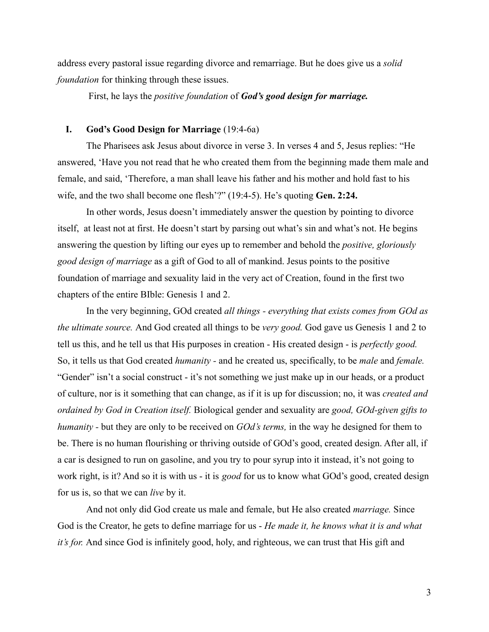address every pastoral issue regarding divorce and remarriage. But he does give us a *solid foundation* for thinking through these issues.

First, he lays the *positive foundation* of *God's good design for marriage.*

### **I. God's Good Design for Marriage** (19:4-6a)

The Pharisees ask Jesus about divorce in verse 3. In verses 4 and 5, Jesus replies: "He answered, 'Have you not read that he who created them from the beginning made them male and female, and said, 'Therefore, a man shall leave his father and his mother and hold fast to his wife, and the two shall become one flesh'?" (19:4-5). He's quoting **Gen. 2:24.**

In other words, Jesus doesn't immediately answer the question by pointing to divorce itself, at least not at first. He doesn't start by parsing out what's sin and what's not. He begins answering the question by lifting our eyes up to remember and behold the *positive, gloriously good design of marriage* as a gift of God to all of mankind. Jesus points to the positive foundation of marriage and sexuality laid in the very act of Creation, found in the first two chapters of the entire BIble: Genesis 1 and 2.

In the very beginning, GOd created *all things - everything that exists comes from GOd as the ultimate source.* And God created all things to be *very good.* God gave us Genesis 1 and 2 to tell us this, and he tell us that His purposes in creation - His created design - is *perfectly good.* So, it tells us that God created *humanity -* and he created us, specifically, to be *male* and *female.* "Gender" isn't a social construct - it's not something we just make up in our heads, or a product of culture, nor is it something that can change, as if it is up for discussion; no, it was *created and ordained by God in Creation itself.* Biological gender and sexuality are *good, GOd-given gifts to humanity -* but they are only to be received on *GOd's terms,* in the way he designed for them to be. There is no human flourishing or thriving outside of GOd's good, created design. After all, if a car is designed to run on gasoline, and you try to pour syrup into it instead, it's not going to work right, is it? And so it is with us - it is *good* for us to know what GOd's good, created design for us is, so that we can *live* by it.

And not only did God create us male and female, but He also created *marriage.* Since God is the Creator, he gets to define marriage for us - *He made it, he knows what it is and what it's for.* And since God is infinitely good, holy, and righteous, we can trust that His gift and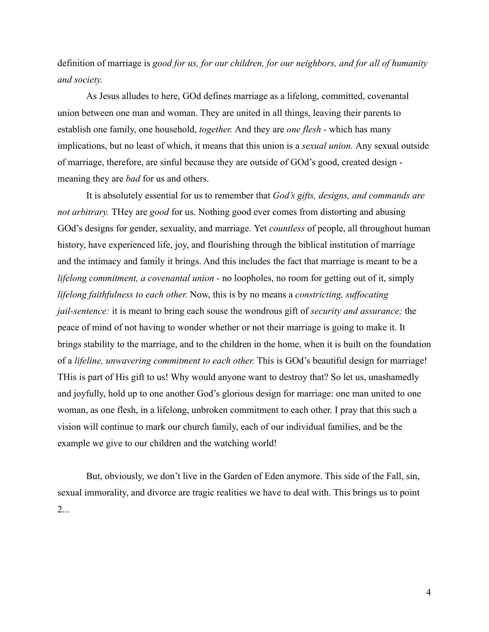definition of marriage is *good for us, for our children, for our neighbors, and for all of humanity and society.*

As Jesus alludes to here, GOd defines marriage as a lifelong, committed, covenantal union between one man and woman. They are united in all things, leaving their parents to establish one family, one household, *together.* And they are *one flesh -* which has many implications, but no least of which, it means that this union is a *sexual union.* Any sexual outside of marriage, therefore, are sinful because they are outside of GOd's good, created design meaning they are *bad* for us and others.

It is absolutely essential for us to remember that *God's gifts, designs, and commands are not arbitrary.* THey are *good* for us. Nothing good ever comes from distorting and abusing GOd's designs for gender, sexuality, and marriage. Yet *countless* of people, all throughout human history, have experienced life, joy, and flourishing through the biblical institution of marriage and the intimacy and family it brings. And this includes the fact that marriage is meant to be a *lifelong commitment, a covenantal union -* no loopholes, no room for getting out of it, simply *lifelong faithfulness to each other.* Now, this is by no means a *constricting, suffocating jail-sentence:* it is meant to bring each souse the wondrous gift of *security and assurance;* the peace of mind of not having to wonder whether or not their marriage is going to make it. It brings stability to the marriage, and to the children in the home, when it is built on the foundation of a *lifeline, unwavering commitment to each other.* This is GOd's beautiful design for marriage! THis is part of His gift to us! Why would anyone want to destroy that? So let us, unashamedly and joyfully, hold up to one another God's glorious design for marriage: one man united to one woman, as one flesh, in a lifelong, unbroken commitment to each other. I pray that this such a vision will continue to mark our church family, each of our individual families, and be the example we give to our children and the watching world!

But, obviously, we don't live in the Garden of Eden anymore. This side of the Fall, sin, sexual immorality, and divorce are tragic realities we have to deal with. This brings us to point 2...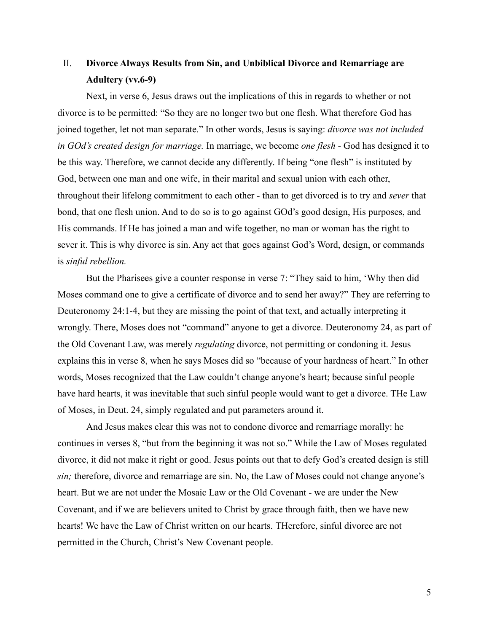# II. **Divorce Always Results from Sin, and Unbiblical Divorce and Remarriage are Adultery (vv.6-9)**

Next, in verse 6, Jesus draws out the implications of this in regards to whether or not divorce is to be permitted: "So they are no longer two but one flesh. What therefore God has joined together, let not man separate." In other words, Jesus is saying: *divorce was not included in GOd's created design for marriage.* In marriage, we become *one flesh -* God has designed it to be this way. Therefore, we cannot decide any differently. If being "one flesh" is instituted by God, between one man and one wife, in their marital and sexual union with each other, throughout their lifelong commitment to each other - than to get divorced is to try and *sever* that bond, that one flesh union. And to do so is to go against GOd's good design, His purposes, and His commands. If He has joined a man and wife together, no man or woman has the right to sever it. This is why divorce is sin. Any act that goes against God's Word, design, or commands is *sinful rebellion.*

But the Pharisees give a counter response in verse 7: "They said to him, 'Why then did Moses command one to give a certificate of divorce and to send her away?" They are referring to Deuteronomy 24:1-4, but they are missing the point of that text, and actually interpreting it wrongly. There, Moses does not "command" anyone to get a divorce. Deuteronomy 24, as part of the Old Covenant Law, was merely *regulating* divorce, not permitting or condoning it. Jesus explains this in verse 8, when he says Moses did so "because of your hardness of heart." In other words, Moses recognized that the Law couldn't change anyone's heart; because sinful people have hard hearts, it was inevitable that such sinful people would want to get a divorce. THe Law of Moses, in Deut. 24, simply regulated and put parameters around it.

And Jesus makes clear this was not to condone divorce and remarriage morally: he continues in verses 8, "but from the beginning it was not so." While the Law of Moses regulated divorce, it did not make it right or good. Jesus points out that to defy God's created design is still *sin;* therefore, divorce and remarriage are sin. No, the Law of Moses could not change anyone's heart. But we are not under the Mosaic Law or the Old Covenant - we are under the New Covenant, and if we are believers united to Christ by grace through faith, then we have new hearts! We have the Law of Christ written on our hearts. THerefore, sinful divorce are not permitted in the Church, Christ's New Covenant people.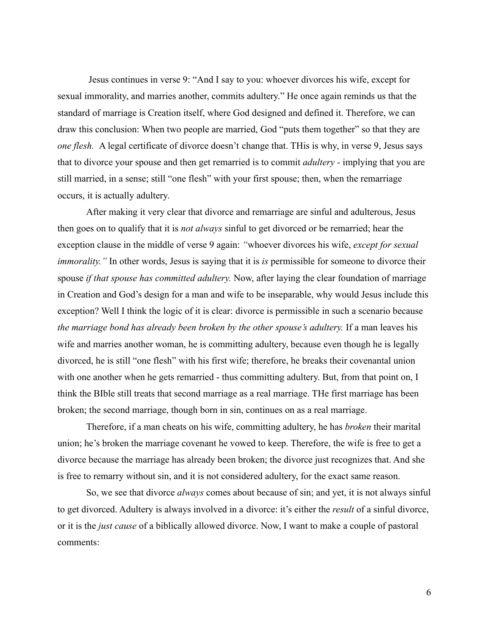Jesus continues in verse 9: "And I say to you: whoever divorces his wife, except for sexual immorality, and marries another, commits adultery." He once again reminds us that the standard of marriage is Creation itself, where God designed and defined it. Therefore, we can draw this conclusion: When two people are married, God "puts them together" so that they are *one flesh.* A legal certificate of divorce doesn't change that. THis is why, in verse 9, Jesus says that to divorce your spouse and then get remarried is to commit *adultery -* implying that you are still married, in a sense; still "one flesh" with your first spouse; then, when the remarriage occurs, it is actually adultery.

After making it very clear that divorce and remarriage are sinful and adulterous, Jesus then goes on to qualify that it is *not always* sinful to get divorced or be remarried; hear the exception clause in the middle of verse 9 again: *"*whoever divorces his wife, *except for sexual immorality.*" In other words, Jesus is saying that it is *is* permissible for someone to divorce their spouse *if that spouse has committed adultery.* Now, after laying the clear foundation of marriage in Creation and God's design for a man and wife to be inseparable, why would Jesus include this exception? Well I think the logic of it is clear: divorce is permissible in such a scenario because *the marriage bond has already been broken by the other spouse's adultery.* If a man leaves his wife and marries another woman, he is committing adultery, because even though he is legally divorced, he is still "one flesh" with his first wife; therefore, he breaks their covenantal union with one another when he gets remarried - thus committing adultery. But, from that point on, I think the BIble still treats that second marriage as a real marriage. THe first marriage has been broken; the second marriage, though born in sin, continues on as a real marriage.

Therefore, if a man cheats on his wife, committing adultery, he has *broken* their marital union; he's broken the marriage covenant he vowed to keep. Therefore, the wife is free to get a divorce because the marriage has already been broken; the divorce just recognizes that. And she is free to remarry without sin, and it is not considered adultery, for the exact same reason.

So, we see that divorce *always* comes about because of sin; and yet, it is not always sinful to get divorced. Adultery is always involved in a divorce: it's either the *result* of a sinful divorce, or it is the *just cause* of a biblically allowed divorce. Now, I want to make a couple of pastoral comments: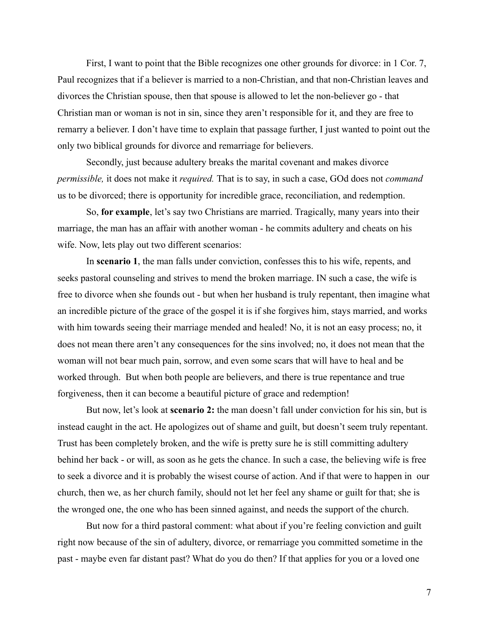First, I want to point that the Bible recognizes one other grounds for divorce: in 1 Cor. 7, Paul recognizes that if a believer is married to a non-Christian, and that non-Christian leaves and divorces the Christian spouse, then that spouse is allowed to let the non-believer go - that Christian man or woman is not in sin, since they aren't responsible for it, and they are free to remarry a believer. I don't have time to explain that passage further, I just wanted to point out the only two biblical grounds for divorce and remarriage for believers.

Secondly, just because adultery breaks the marital covenant and makes divorce *permissible,* it does not make it *required.* That is to say, in such a case, GOd does not *command* us to be divorced; there is opportunity for incredible grace, reconciliation, and redemption.

So, **for example**, let's say two Christians are married. Tragically, many years into their marriage, the man has an affair with another woman - he commits adultery and cheats on his wife. Now, lets play out two different scenarios:

In **scenario 1**, the man falls under conviction, confesses this to his wife, repents, and seeks pastoral counseling and strives to mend the broken marriage. IN such a case, the wife is free to divorce when she founds out - but when her husband is truly repentant, then imagine what an incredible picture of the grace of the gospel it is if she forgives him, stays married, and works with him towards seeing their marriage mended and healed! No, it is not an easy process; no, it does not mean there aren't any consequences for the sins involved; no, it does not mean that the woman will not bear much pain, sorrow, and even some scars that will have to heal and be worked through. But when both people are believers, and there is true repentance and true forgiveness, then it can become a beautiful picture of grace and redemption!

But now, let's look at **scenario 2:** the man doesn't fall under conviction for his sin, but is instead caught in the act. He apologizes out of shame and guilt, but doesn't seem truly repentant. Trust has been completely broken, and the wife is pretty sure he is still committing adultery behind her back - or will, as soon as he gets the chance. In such a case, the believing wife is free to seek a divorce and it is probably the wisest course of action. And if that were to happen in our church, then we, as her church family, should not let her feel any shame or guilt for that; she is the wronged one, the one who has been sinned against, and needs the support of the church.

But now for a third pastoral comment: what about if you're feeling conviction and guilt right now because of the sin of adultery, divorce, or remarriage you committed sometime in the past - maybe even far distant past? What do you do then? If that applies for you or a loved one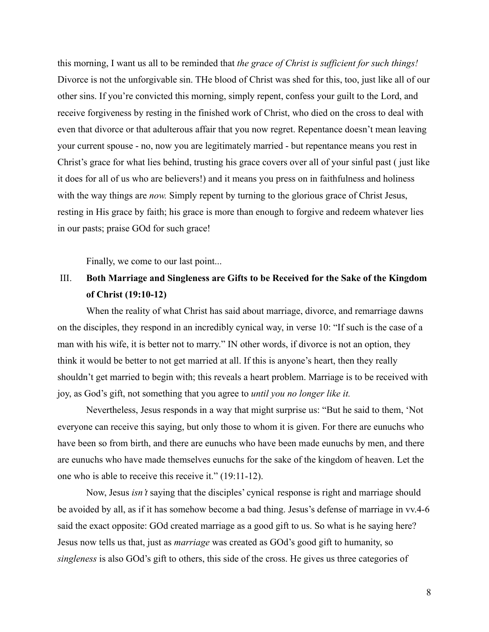this morning, I want us all to be reminded that *the grace of Christ is sufficient for such things!* Divorce is not the unforgivable sin. THe blood of Christ was shed for this, too, just like all of our other sins. If you're convicted this morning, simply repent, confess your guilt to the Lord, and receive forgiveness by resting in the finished work of Christ, who died on the cross to deal with even that divorce or that adulterous affair that you now regret. Repentance doesn't mean leaving your current spouse - no, now you are legitimately married - but repentance means you rest in Christ's grace for what lies behind, trusting his grace covers over all of your sinful past ( just like it does for all of us who are believers!) and it means you press on in faithfulness and holiness with the way things are *now*. Simply repent by turning to the glorious grace of Christ Jesus, resting in His grace by faith; his grace is more than enough to forgive and redeem whatever lies in our pasts; praise GOd for such grace!

Finally, we come to our last point...

# III. **Both Marriage and Singleness are Gifts to be Received for the Sake of the Kingdom of Christ (19:10-12)**

When the reality of what Christ has said about marriage, divorce, and remarriage dawns on the disciples, they respond in an incredibly cynical way, in verse 10: "If such is the case of a man with his wife, it is better not to marry." IN other words, if divorce is not an option, they think it would be better to not get married at all. If this is anyone's heart, then they really shouldn't get married to begin with; this reveals a heart problem. Marriage is to be received with joy, as God's gift, not something that you agree to *until you no longer like it.*

Nevertheless, Jesus responds in a way that might surprise us: "But he said to them, 'Not everyone can receive this saying, but only those to whom it is given. For there are eunuchs who have been so from birth, and there are eunuchs who have been made eunuchs by men, and there are eunuchs who have made themselves eunuchs for the sake of the kingdom of heaven. Let the one who is able to receive this receive it." (19:11-12).

Now, Jesus *isn't* saying that the disciples' cynical response is right and marriage should be avoided by all, as if it has somehow become a bad thing. Jesus's defense of marriage in vv.4-6 said the exact opposite: GOd created marriage as a good gift to us. So what is he saying here? Jesus now tells us that, just as *marriage* was created as GOd's good gift to humanity, so *singleness* is also GOd's gift to others, this side of the cross. He gives us three categories of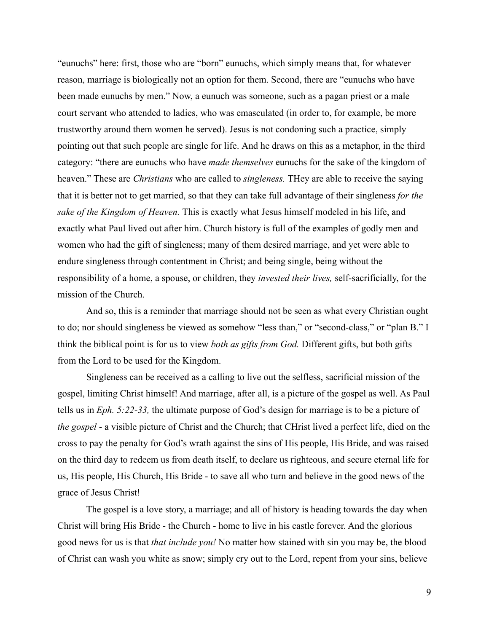"eunuchs" here: first, those who are "born" eunuchs, which simply means that, for whatever reason, marriage is biologically not an option for them. Second, there are "eunuchs who have been made eunuchs by men." Now, a eunuch was someone, such as a pagan priest or a male court servant who attended to ladies, who was emasculated (in order to, for example, be more trustworthy around them women he served). Jesus is not condoning such a practice, simply pointing out that such people are single for life. And he draws on this as a metaphor, in the third category: "there are eunuchs who have *made themselves* eunuchs for the sake of the kingdom of heaven." These are *Christians* who are called to *singleness.* THey are able to receive the saying that it is better not to get married, so that they can take full advantage of their singleness *for the sake of the Kingdom of Heaven.* This is exactly what Jesus himself modeled in his life, and exactly what Paul lived out after him. Church history is full of the examples of godly men and women who had the gift of singleness; many of them desired marriage, and yet were able to endure singleness through contentment in Christ; and being single, being without the responsibility of a home, a spouse, or children, they *invested their lives,* self-sacrificially, for the mission of the Church.

And so, this is a reminder that marriage should not be seen as what every Christian ought to do; nor should singleness be viewed as somehow "less than," or "second-class," or "plan B." I think the biblical point is for us to view *both as gifts from God.* Different gifts, but both gifts from the Lord to be used for the Kingdom.

Singleness can be received as a calling to live out the selfless, sacrificial mission of the gospel, limiting Christ himself! And marriage, after all, is a picture of the gospel as well. As Paul tells us in *Eph. 5:22-33,* the ultimate purpose of God's design for marriage is to be a picture of *the gospel* - a visible picture of Christ and the Church; that CHrist lived a perfect life, died on the cross to pay the penalty for God's wrath against the sins of His people, His Bride, and was raised on the third day to redeem us from death itself, to declare us righteous, and secure eternal life for us, His people, His Church, His Bride - to save all who turn and believe in the good news of the grace of Jesus Christ!

The gospel is a love story, a marriage; and all of history is heading towards the day when Christ will bring His Bride - the Church - home to live in his castle forever. And the glorious good news for us is that *that include you!* No matter how stained with sin you may be, the blood of Christ can wash you white as snow; simply cry out to the Lord, repent from your sins, believe